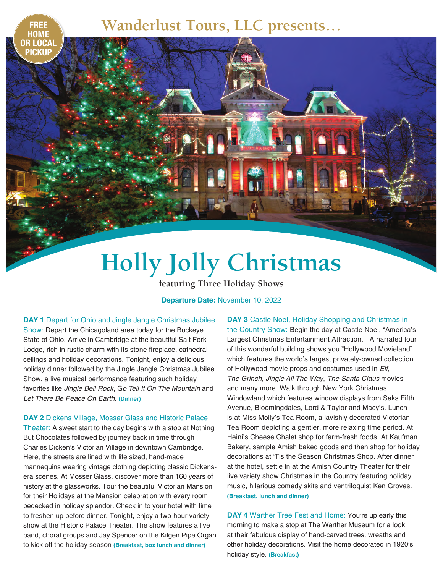**FREE Wanderlust Tours, LLC presents…**

## **Holly Jolly Christmas**

**featuring Three Holiday Shows**

**Departure Date:** November 10, 2022

**DAY 1** Depart for Ohio and Jingle Jangle Christmas Jubilee

**HOME** 

**OR LOCAL PICKUP**

Show: Depart the Chicagoland area today for the Buckeye State of Ohio. Arrive in Cambridge at the beautiful Salt Fork Lodge, rich in rustic charm with its stone fireplace, cathedral ceilings and holiday decorations. Tonight, enjoy a delicious holiday dinner followed by the Jingle Jangle Christmas Jubilee Show, a live musical performance featuring such holiday favorites like *Jingle Bell Rock*, G*o Tell It On The Mountain* and *Let There Be Peace On Earth*. **(Dinner)**

**DAY 2** Dickens Village, Mosser Glass and Historic Palace

Theater: A sweet start to the day begins with a stop at Nothing But Chocolates followed by journey back in time through Charles Dicken's Victorian Village in downtown Cambridge. Here, the streets are lined with life sized, hand-made mannequins wearing vintage clothing depicting classic Dickensera scenes. At Mosser Glass, discover more than 160 years of history at the glassworks. Tour the beautiful Victorian Mansion for their Holidays at the Mansion celebration with every room bedecked in holiday splendor. Check in to your hotel with time to freshen up before dinner. Tonight, enjoy a two-hour variety show at the Historic Palace Theater. The show features a live band, choral groups and Jay Spencer on the Kilgen Pipe Organ to kick off the holiday season **(Breakfast, box lunch and dinner)**

**DAY 3** Castle Noel, Holiday Shopping and Christmas in the Country Show: Begin the day at Castle Noel, "America's Largest Christmas Entertainment Attraction." A narrated tour of this wonderful building shows you "Hollywood Movieland" which features the world's largest privately-owned collection of Hollywood movie props and costumes used in *Elf*, *The Grinch*, *Jingle All The Way*, *The Santa Claus* movies and many more. Walk through New York Christmas Windowland which features window displays from Saks Fifth Avenue, Bloomingdales, Lord & Taylor and Macy's. Lunch is at Miss Molly's Tea Room, a lavishly decorated Victorian Tea Room depicting a gentler, more relaxing time period. At Heini's Cheese Chalet shop for farm-fresh foods. At Kaufman Bakery, sample Amish baked goods and then shop for holiday decorations at 'Tis the Season Christmas Shop. After dinner at the hotel, settle in at the Amish Country Theater for their live variety show Christmas in the Country featuring holiday music, hilarious comedy skits and ventriloquist Ken Groves. **(Breakfast, lunch and dinner)**

**DAY 4** Warther Tree Fest and Home: You're up early this morning to make a stop at The Warther Museum for a look at their fabulous display of hand-carved trees, wreaths and other holiday decorations. Visit the home decorated in 1920's holiday style. **(Breakfast)**